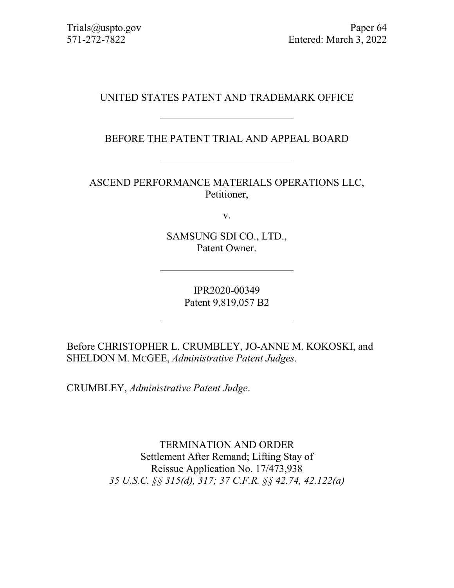# UNITED STATES PATENT AND TRADEMARK OFFICE

BEFORE THE PATENT TRIAL AND APPEAL BOARD

ASCEND PERFORMANCE MATERIALS OPERATIONS LLC, Petitioner,

v.

SAMSUNG SDI CO., LTD., Patent Owner.

> IPR2020-00349 Patent 9,819,057 B2

Before CHRISTOPHER L. CRUMBLEY, JO-ANNE M. KOKOSKI, and SHELDON M. MCGEE, *Administrative Patent Judges*.

CRUMBLEY, *Administrative Patent Judge*.

TERMINATION AND ORDER Settlement After Remand; Lifting Stay of Reissue Application No. 17/473,938 *35 U.S.C. §§ 315(d), 317; 37 C.F.R. §§ 42.74, 42.122(a)*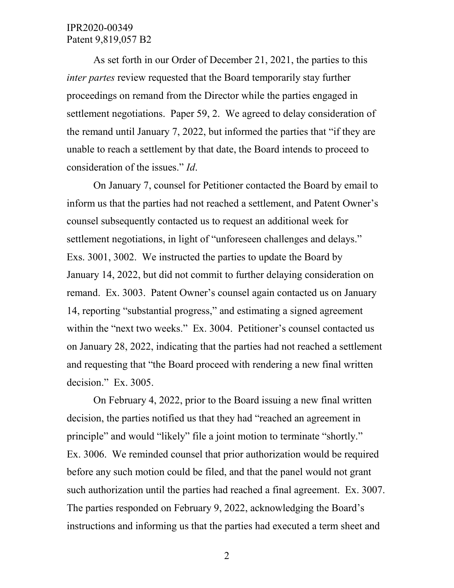As set forth in our Order of December 21, 2021, the parties to this *inter partes* review requested that the Board temporarily stay further proceedings on remand from the Director while the parties engaged in settlement negotiations. Paper 59, 2. We agreed to delay consideration of the remand until January 7, 2022, but informed the parties that "if they are unable to reach a settlement by that date, the Board intends to proceed to consideration of the issues." *Id*.

On January 7, counsel for Petitioner contacted the Board by email to inform us that the parties had not reached a settlement, and Patent Owner's counsel subsequently contacted us to request an additional week for settlement negotiations, in light of "unforeseen challenges and delays." Exs. 3001, 3002. We instructed the parties to update the Board by January 14, 2022, but did not commit to further delaying consideration on remand. Ex. 3003. Patent Owner's counsel again contacted us on January 14, reporting "substantial progress," and estimating a signed agreement within the "next two weeks." Ex. 3004. Petitioner's counsel contacted us on January 28, 2022, indicating that the parties had not reached a settlement and requesting that "the Board proceed with rendering a new final written decision." Ex. 3005.

On February 4, 2022, prior to the Board issuing a new final written decision, the parties notified us that they had "reached an agreement in principle" and would "likely" file a joint motion to terminate "shortly." Ex. 3006. We reminded counsel that prior authorization would be required before any such motion could be filed, and that the panel would not grant such authorization until the parties had reached a final agreement. Ex. 3007. The parties responded on February 9, 2022, acknowledging the Board's instructions and informing us that the parties had executed a term sheet and

2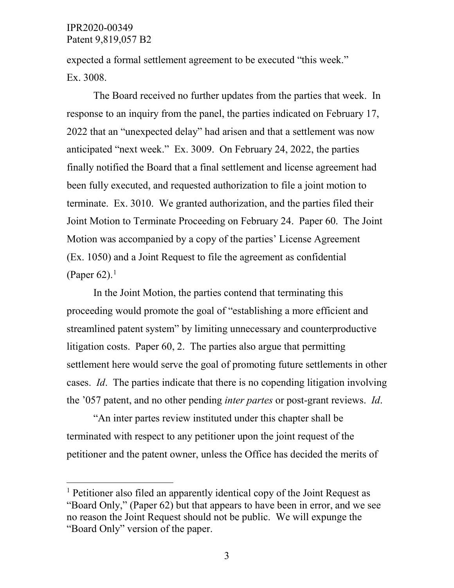expected a formal settlement agreement to be executed "this week." Ex. 3008.

The Board received no further updates from the parties that week. In response to an inquiry from the panel, the parties indicated on February 17, 2022 that an "unexpected delay" had arisen and that a settlement was now anticipated "next week." Ex. 3009. On February 24, 2022, the parties finally notified the Board that a final settlement and license agreement had been fully executed, and requested authorization to file a joint motion to terminate. Ex. 3010. We granted authorization, and the parties filed their Joint Motion to Terminate Proceeding on February 24. Paper 60. The Joint Motion was accompanied by a copy of the parties' License Agreement (Ex. 1050) and a Joint Request to file the agreement as confidential (Paper 62). $<sup>1</sup>$  $<sup>1</sup>$  $<sup>1</sup>$ </sup>

In the Joint Motion, the parties contend that terminating this proceeding would promote the goal of "establishing a more efficient and streamlined patent system" by limiting unnecessary and counterproductive litigation costs. Paper 60, 2. The parties also argue that permitting settlement here would serve the goal of promoting future settlements in other cases. *Id*. The parties indicate that there is no copending litigation involving the '057 patent, and no other pending *inter partes* or post-grant reviews. *Id*.

"An inter partes review instituted under this chapter shall be terminated with respect to any petitioner upon the joint request of the petitioner and the patent owner, unless the Office has decided the merits of

<span id="page-2-0"></span><sup>&</sup>lt;sup>1</sup> Petitioner also filed an apparently identical copy of the Joint Request as "Board Only," (Paper 62) but that appears to have been in error, and we see no reason the Joint Request should not be public. We will expunge the "Board Only" version of the paper.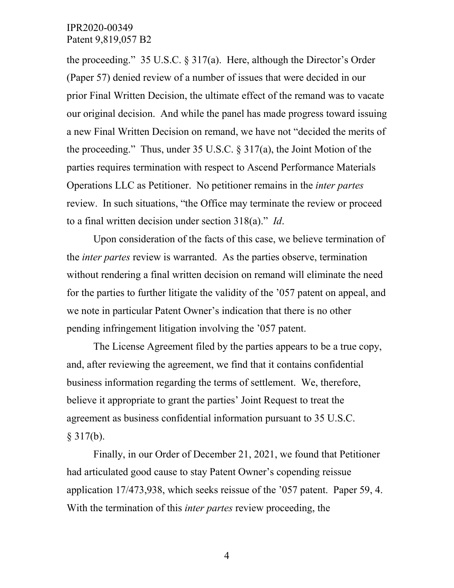the proceeding." 35 U.S.C.  $\S 317(a)$ . Here, although the Director's Order (Paper 57) denied review of a number of issues that were decided in our prior Final Written Decision, the ultimate effect of the remand was to vacate our original decision. And while the panel has made progress toward issuing a new Final Written Decision on remand, we have not "decided the merits of the proceeding." Thus, under 35 U.S.C. § 317(a), the Joint Motion of the parties requires termination with respect to Ascend Performance Materials Operations LLC as Petitioner. No petitioner remains in the *inter partes*  review. In such situations, "the Office may terminate the review or proceed to a final written decision under section 318(a)." *Id*.

Upon consideration of the facts of this case, we believe termination of the *inter partes* review is warranted. As the parties observe, termination without rendering a final written decision on remand will eliminate the need for the parties to further litigate the validity of the '057 patent on appeal, and we note in particular Patent Owner's indication that there is no other pending infringement litigation involving the '057 patent.

The License Agreement filed by the parties appears to be a true copy, and, after reviewing the agreement, we find that it contains confidential business information regarding the terms of settlement. We, therefore, believe it appropriate to grant the parties' Joint Request to treat the agreement as business confidential information pursuant to 35 U.S.C.  $§ 317(b).$ 

Finally, in our Order of December 21, 2021, we found that Petitioner had articulated good cause to stay Patent Owner's copending reissue application 17/473,938, which seeks reissue of the '057 patent. Paper 59, 4. With the termination of this *inter partes* review proceeding, the

4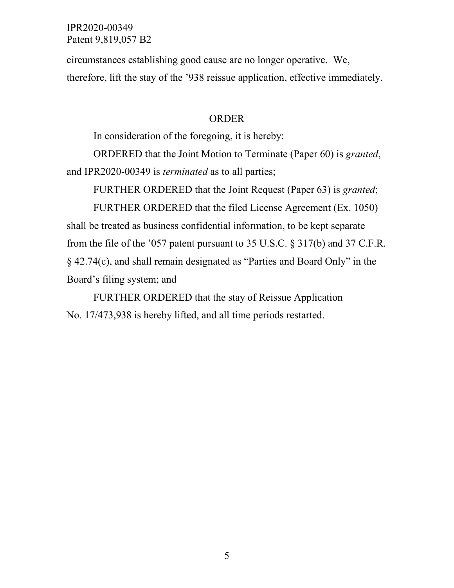circumstances establishing good cause are no longer operative. We, therefore, lift the stay of the '938 reissue application, effective immediately.

#### ORDER

In consideration of the foregoing, it is hereby:

ORDERED that the Joint Motion to Terminate (Paper 60) is *granted*, and IPR2020-00349 is *terminated* as to all parties;

FURTHER ORDERED that the Joint Request (Paper 63) is *granted*;

FURTHER ORDERED that the filed License Agreement (Ex. 1050) shall be treated as business confidential information, to be kept separate from the file of the '057 patent pursuant to 35 U.S.C. § 317(b) and 37 C.F.R. § 42.74(c), and shall remain designated as "Parties and Board Only" in the Board's filing system; and

FURTHER ORDERED that the stay of Reissue Application No. 17/473,938 is hereby lifted, and all time periods restarted.